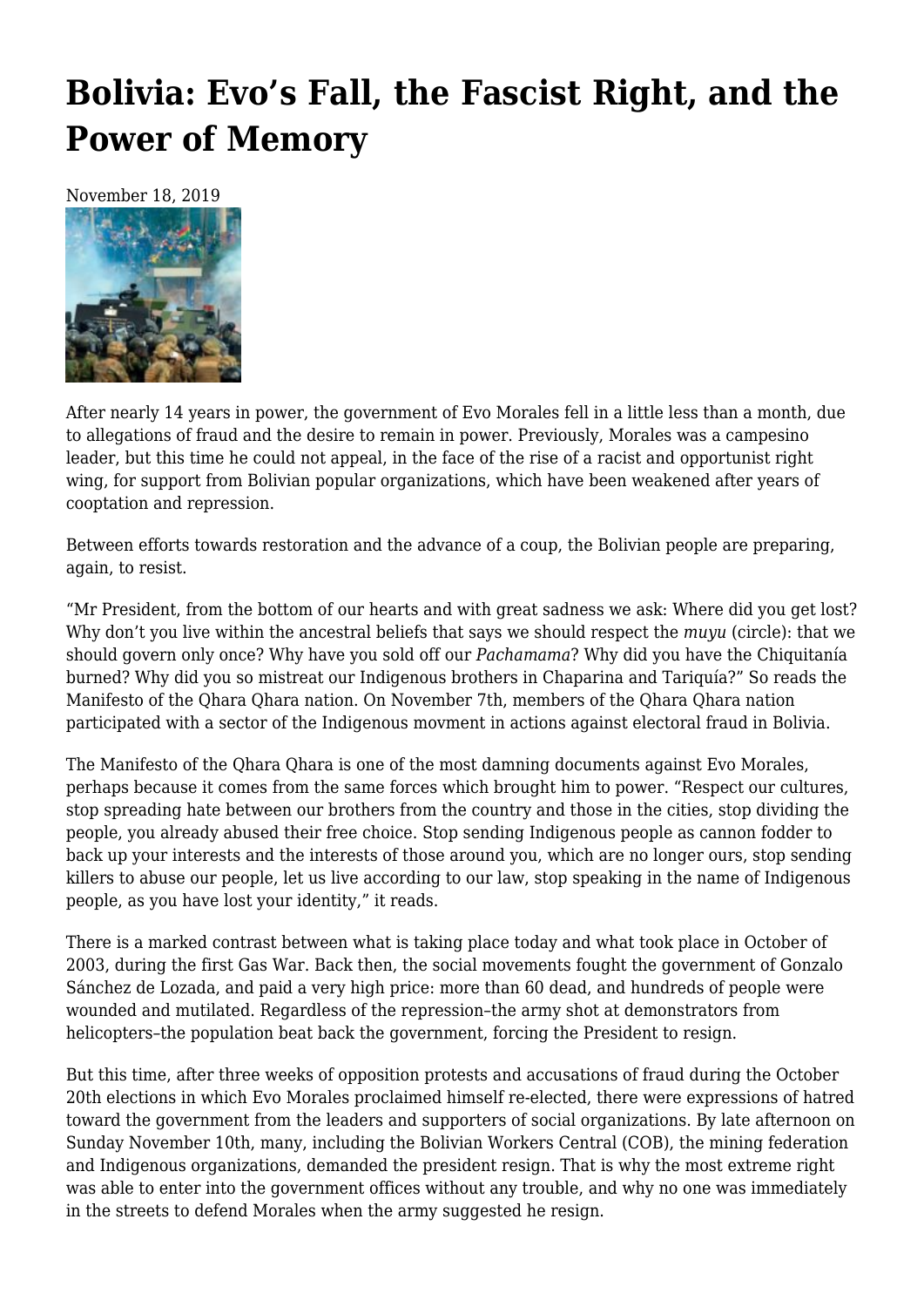# **[Bolivia: Evo's Fall, the Fascist Right, and the](https://newpol.org/bolivia-evos-fall-the-fascist-right-and-the-power-of-memory-by-raul-zibechi/) [Power of Memory](https://newpol.org/bolivia-evos-fall-the-fascist-right-and-the-power-of-memory-by-raul-zibechi/)**

November 18, 2019



After nearly 14 years in power, the government of Evo Morales fell in a little less than a month, due to allegations of fraud and the desire to remain in power. Previously, Morales was a campesino leader, but this time he could not appeal, in the face of the rise of a racist and opportunist right wing, for support from Bolivian popular organizations, which have been weakened after years of cooptation and repression.

Between efforts towards restoration and the advance of a coup, the Bolivian people are preparing, again, to resist.

"Mr President, from the bottom of our hearts and with great sadness we ask: Where did you get lost? Why don't you live within the ancestral beliefs that says we should respect the *muyu* (circle): that we should govern only once? Why have you sold off our *Pachamama*? Why did you have the Chiquitanía burned? Why did you so mistreat our Indigenous brothers in Chaparina and Tariquía?" So reads the Manifesto of the Qhara Qhara nation. On November 7th, members of the Qhara Qhara nation participated with a sector of the Indigenous movment in actions against electoral fraud in Bolivia.

The Manifesto of the Qhara Qhara is one of the most damning documents against Evo Morales, perhaps because it comes from the same forces which brought him to power. "Respect our cultures, stop spreading hate between our brothers from the country and those in the cities, stop dividing the people, you already abused their free choice. Stop sending Indigenous people as cannon fodder to back up your interests and the interests of those around you, which are no longer ours, stop sending killers to abuse our people, let us live according to our law, stop speaking in the name of Indigenous people, as you have lost your identity," it reads.

There is a marked contrast between what is taking place today and what took place in October of 2003, during the [first Gas War](https://towardfreedom.org/story/archives/americas/photo-essay-thousands-march-in-el-alto-bolivia-demanding-justice-for-2003-gas-war-massacre/). Back then, the social movements fought the government of Gonzalo Sánchez de Lozada, and paid a very high price: more than 60 dead, and hundreds of people were wounded and mutilated. Regardless of the repression–the army shot at demonstrators from helicopters–the population beat back the government, forcing the President to resign.

But this time, after three weeks of opposition protests and accusations of fraud during the October 20th elections in which Evo Morales proclaimed himself re-elected, there were expressions of hatred toward the government from the leaders and supporters of social organizations. By late afternoon on Sunday November 10th, many, including the Bolivian Workers Central (COB), the mining federation and Indigenous organizations, demanded the president resign. That is why the most extreme right was able to enter into the government offices without any trouble, and why no one was immediately in the streets to defend Morales when the army suggested he resign.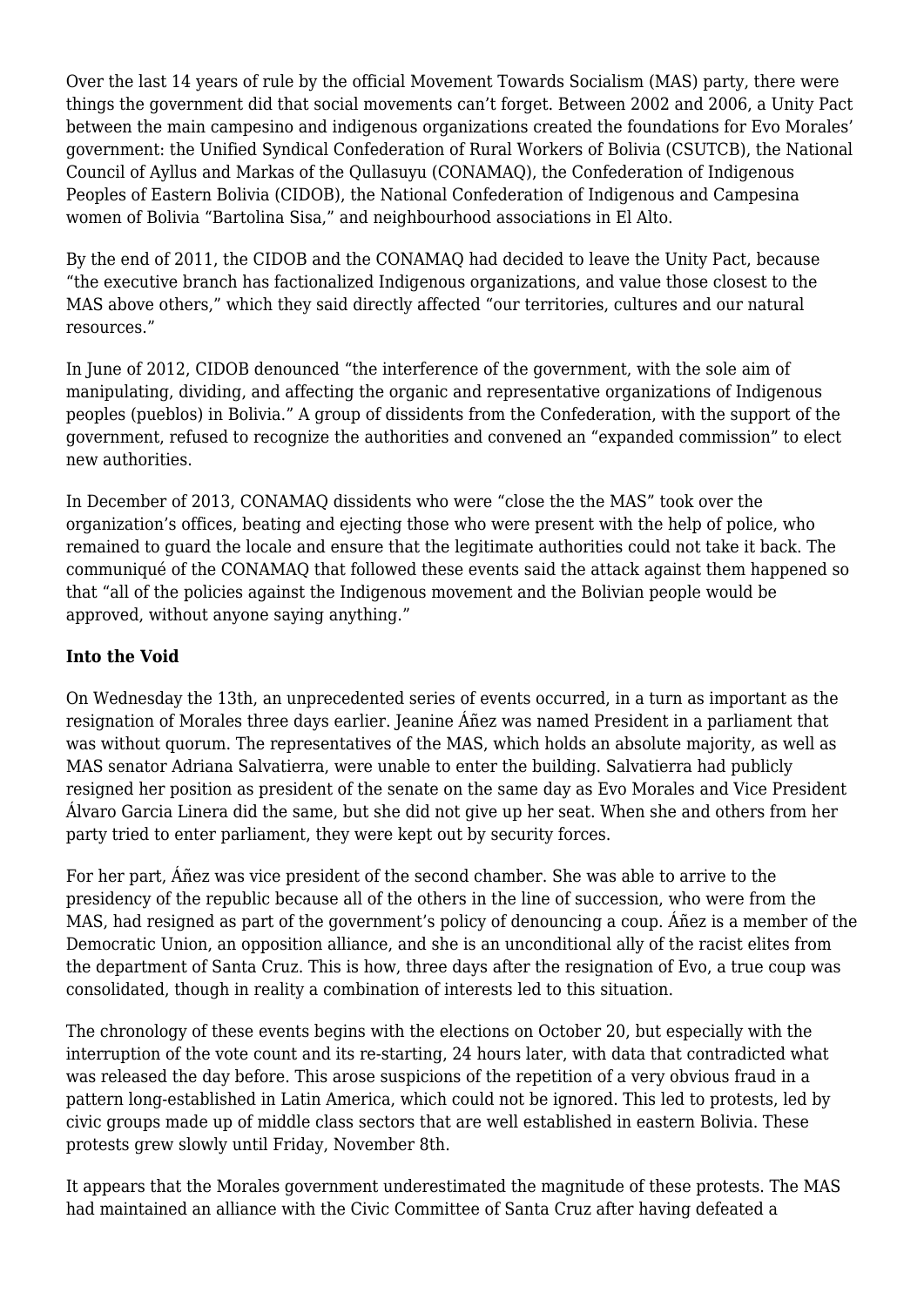Over the last 14 years of rule by the official Movement Towards Socialism (MAS) party, there were things the government did that social movements can't forget. Between 2002 and 2006, a Unity Pact between the main campesino and indigenous organizations created the foundations for Evo Morales' government: the Unified Syndical Confederation of Rural Workers of Bolivia (CSUTCB), the National Council of Ayllus and Markas of the Qullasuyu (CONAMAQ), the Confederation of Indigenous Peoples of Eastern Bolivia (CIDOB), the National Confederation of Indigenous and Campesina women of Bolivia "Bartolina Sisa," and neighbourhood associations in El Alto.

By the end of 2011, the CIDOB and the CONAMAQ had decided to leave the Unity Pact, because "the executive branch has factionalized Indigenous organizations, and value those closest to the MAS above others," which they said directly affected "our territories, cultures and our natural resources."

In June of 2012, CIDOB denounced "the interference of the government, with the sole aim of manipulating, dividing, and affecting the organic and representative organizations of Indigenous peoples (pueblos) in Bolivia." A group of dissidents from the Confederation, with the support of the government, refused to recognize the authorities and convened an "expanded commission" to elect new authorities.

In December of 2013, CONAMAQ dissidents who were "close the the MAS" took over the organization's offices, beating and ejecting those who were present with the help of police, who remained to guard the locale and ensure that the legitimate authorities could not take it back. The communiqué of the CONAMAQ that followed these events said the attack against them happened so that "all of the policies against the Indigenous movement and the Bolivian people would be approved, without anyone saying anything."

## **Into the Void**

On Wednesday the 13th, an unprecedented series of events occurred, in a turn as important as the resignation of Morales three days earlier. Jeanine Áñez was named President in a parliament that was without quorum. The representatives of the MAS, which holds an absolute majority, as well as MAS senator Adriana Salvatierra, were unable to enter the building. Salvatierra had publicly resigned her position as president of the senate on the same day as Evo Morales and Vice President Álvaro Garcia Linera did the same, but she did not give up her seat. When she and others from her party tried to enter parliament, they were kept out by security forces.

For her part, Áñez was vice president of the second chamber. She was able to arrive to the presidency of the republic because all of the others in the line of succession, who were from the MAS, had resigned as part of the government's policy of denouncing a coup. Áñez is a member of the Democratic Union, an opposition alliance, and she is an unconditional ally of the racist elites from the department of Santa Cruz. This is how, three days after the resignation of Evo, a true coup was consolidated, though in reality a combination of interests led to this situation.

The chronology of these events begins with the elections on October 20, but especially with the interruption of the vote count and its re-starting, 24 hours later, with data that contradicted what was released the day before. This arose suspicions of the repetition of a very obvious fraud in a pattern long-established in Latin America, which could not be ignored. This led to protests, led by civic groups made up of middle class sectors that are well established in eastern Bolivia. These protests grew slowly until Friday, November 8th.

It appears that the Morales government underestimated the magnitude of these protests. The MAS had maintained an alliance with the Civic Committee of Santa Cruz after having defeated a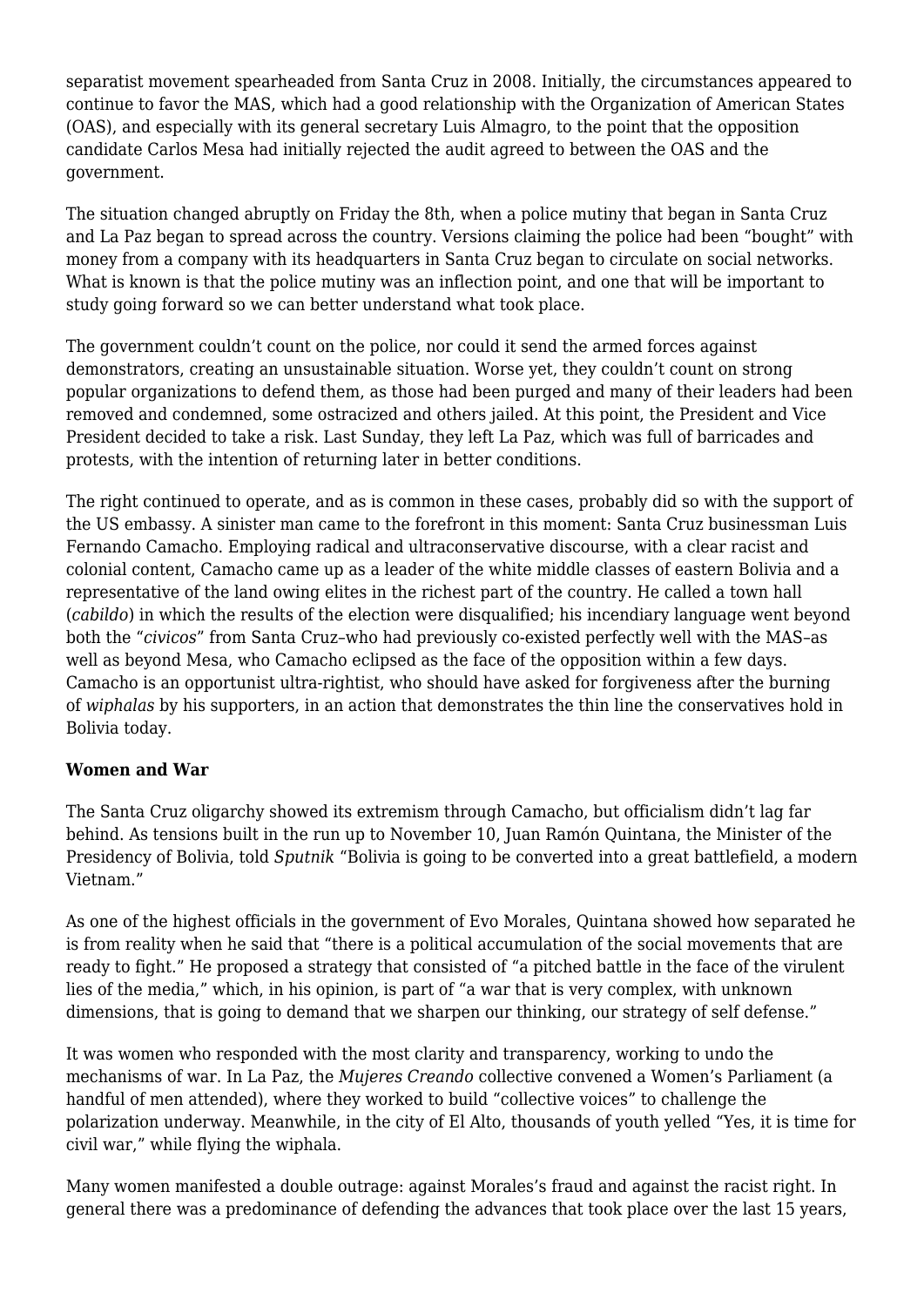separatist movement spearheaded from Santa Cruz in 2008. Initially, the circumstances appeared to continue to favor the MAS, which had a good relationship with the Organization of American States (OAS), and especially with its general secretary Luis Almagro, to the point that the opposition candidate Carlos Mesa had initially rejected the audit agreed to between the OAS and the government.

The situation changed abruptly on Friday the 8th, when a police mutiny that began in Santa Cruz and La Paz began to spread across the country. Versions claiming the police had been "bought" with money from a company with its headquarters in Santa Cruz began to circulate on social networks. What is known is that the police mutiny was an inflection point, and one that will be important to study going forward so we can better understand what took place.

The government couldn't count on the police, nor could it send the armed forces against demonstrators, creating an unsustainable situation. Worse yet, they couldn't count on strong popular organizations to defend them, as those had been purged and many of their leaders had been removed and condemned, some ostracized and others jailed. At this point, the President and Vice President decided to take a risk. Last Sunday, they left La Paz, which was full of barricades and protests, with the intention of returning later in better conditions.

The right continued to operate, and as is common in these cases, probably did so with the support of the US embassy. A sinister man came to the forefront in this moment: Santa Cruz businessman Luis Fernando Camacho. Employing radical and ultraconservative discourse, with a clear racist and colonial content, Camacho came up as a leader of the white middle classes of eastern Bolivia and a representative of the land owing elites in the richest part of the country. He called a town hall (*cabildo*) in which the results of the election were disqualified; his incendiary language went beyond both the "*civicos*" from Santa Cruz–who had previously co-existed perfectly well with the MAS–as well as beyond Mesa, who Camacho eclipsed as the face of the opposition within a few days. Camacho is an opportunist ultra-rightist, who should have asked for forgiveness after the burning of *wiphalas* by his supporters, in an action that demonstrates the thin line the conservatives hold in Bolivia today.

### **Women and War**

The Santa Cruz oligarchy showed its extremism through Camacho, but officialism didn't lag far behind. As tensions built in the run up to November 10, Juan Ramón Quintana, the Minister of the Presidency of Bolivia, told *Sputnik* "Bolivia is going to be converted into a great battlefield, a modern Vietnam."

As one of the highest officials in the government of Evo Morales, Quintana showed how separated he is from reality when he said that "there is a political accumulation of the social movements that are ready to fight." He proposed a strategy that consisted of "a pitched battle in the face of the virulent lies of the media," which, in his opinion, is part of "a war that is very complex, with unknown dimensions, that is going to demand that we sharpen our thinking, our strategy of self defense."

It was women who responded with the most clarity and transparency, working to undo the mechanisms of war. In La Paz, the *Mujeres Creando* collective convened a Women's Parliament (a handful of men attended), where they worked to build "collective voices" to challenge the polarization underway. Meanwhile, in the city of El Alto, thousands of youth yelled "Yes, it is time for civil war," while flying the wiphala.

Many women manifested a double outrage: against Morales's fraud and against the racist right. In general there was a predominance of defending the advances that took place over the last 15 years,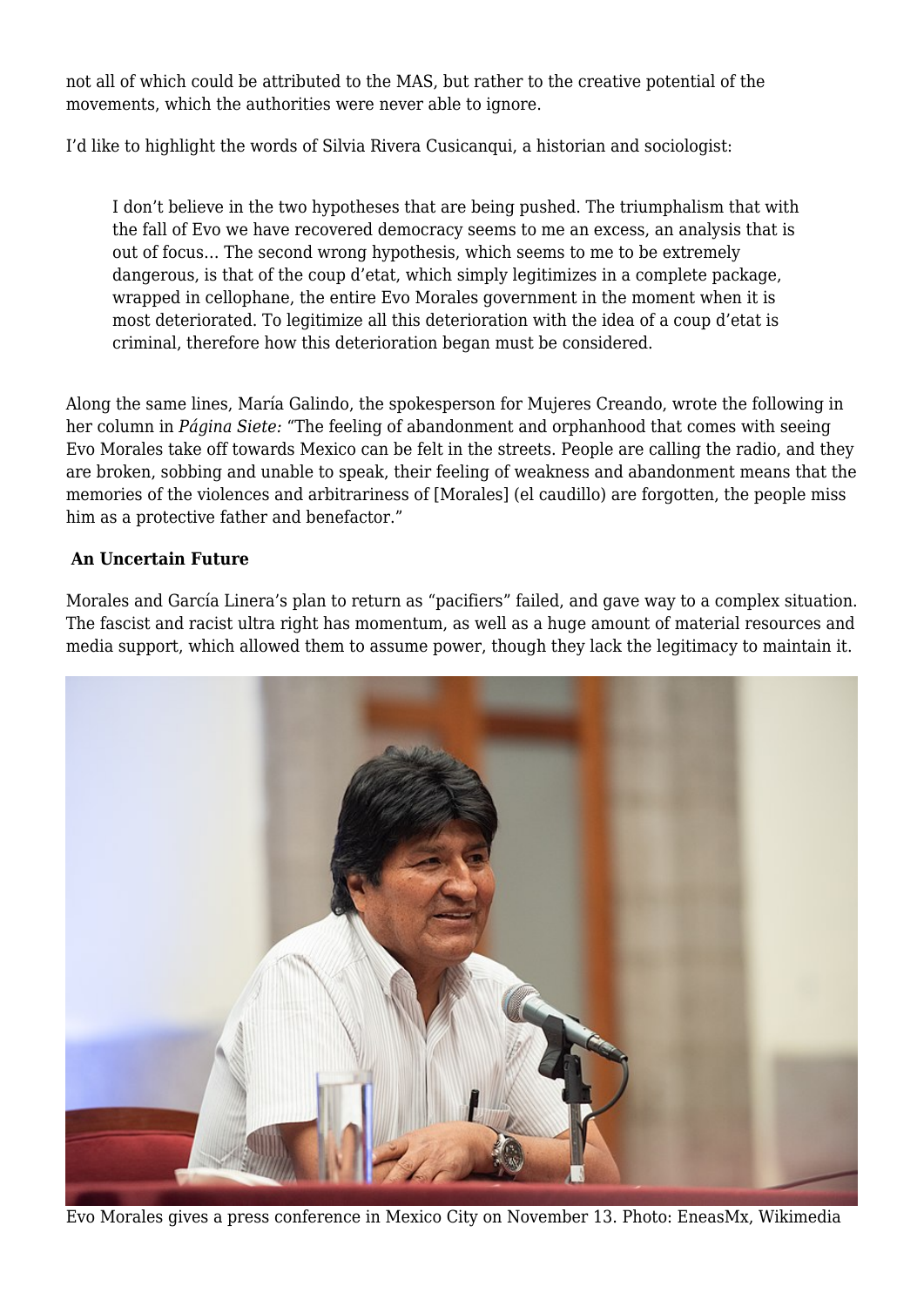not all of which could be attributed to the MAS, but rather to the creative potential of the movements, which the authorities were never able to ignore.

I'd like to highlight the [words of](https://towardfreedom.org/global-news-and-analysis-global-news-and-analysis/silvia-rivera-cusicanqui-bolivias-lesson-in-triumphalism/) Silvia Rivera Cusicanqui, a historian and sociologist:

I don't believe in the two hypotheses that are being pushed. The triumphalism that with the fall of Evo we have recovered democracy seems to me an excess, an analysis that is out of focus… The second wrong hypothesis, which seems to me to be extremely dangerous, is that of the coup d'etat, which simply legitimizes in a complete package, wrapped in cellophane, the entire Evo Morales government in the moment when it is most deteriorated. To legitimize all this deterioration with the idea of a coup d'etat is criminal, therefore how this deterioration began must be considered.

Along the same lines, María Galindo, the spokesperson for Mujeres Creando, wrote the following in her column in *Página Siete:* "The feeling of abandonment and orphanhood that comes with seeing Evo Morales take off towards Mexico can be felt in the streets. People are calling the radio, and they are broken, sobbing and unable to speak, their feeling of weakness and abandonment means that the memories of the violences and arbitrariness of [Morales] (el caudillo) are forgotten, the people miss him as a protective father and benefactor."

### **An Uncertain Future**

Morales and García Linera's plan to return as "pacifiers" failed, and gave way to a complex situation. The fascist and racist ultra right has momentum, as well as a huge amount of material resources and media support, which allowed them to assume power, though they lack the legitimacy to maintain it.



Evo Morales gives a press conference in Mexico City on November 13. Photo: EneasMx, Wikimedia